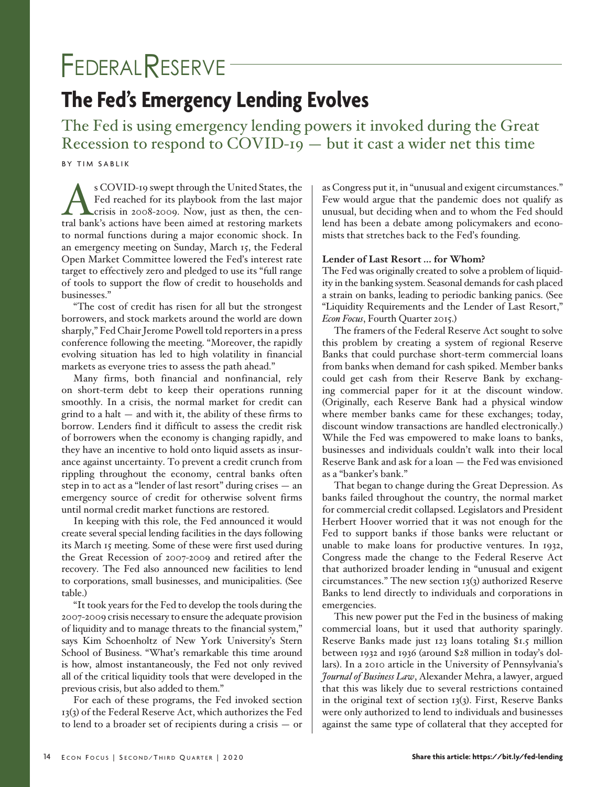# FEDERALRESERVE

# **The Fed's Emergency Lending Evolves**

The Fed is using emergency lending powers it invoked during the Great Recession to respond to COVID-19 — but it cast a wider net this time

BY TIM SABLIK

SCOVID-19 swept through the United States, the<br>Fed reached for its playbook from the last major<br>crisis in 2008-2009. Now, just as then, the cen-<br>tral bank's actions have been aimed at restoring markets Fed reached for its playbook from the last major crisis in 2008-2009. Now, just as then, the central bank's actions have been aimed at restoring markets to normal functions during a major economic shock. In an emergency meeting on Sunday, March 15, the Federal Open Market Committee lowered the Fed's interest rate target to effectively zero and pledged to use its "full range of tools to support the flow of credit to households and businesses."

"The cost of credit has risen for all but the strongest borrowers, and stock markets around the world are down sharply," Fed Chair Jerome Powell told reporters in a press conference following the meeting. "Moreover, the rapidly evolving situation has led to high volatility in financial markets as everyone tries to assess the path ahead."

Many firms, both financial and nonfinancial, rely on short-term debt to keep their operations running smoothly. In a crisis, the normal market for credit can grind to a halt  $-$  and with it, the ability of these firms to borrow. Lenders find it difficult to assess the credit risk of borrowers when the economy is changing rapidly, and they have an incentive to hold onto liquid assets as insurance against uncertainty. To prevent a credit crunch from rippling throughout the economy, central banks often step in to act as a "lender of last resort" during crises — an emergency source of credit for otherwise solvent firms until normal credit market functions are restored.

In keeping with this role, the Fed announced it would create several special lending facilities in the days following its March 15 meeting. Some of these were first used during the Great Recession of 2007-2009 and retired after the recovery. The Fed also announced new facilities to lend to corporations, small businesses, and municipalities. (See table.)

"It took years for the Fed to develop the tools during the 2007-2009 crisis necessary to ensure the adequate provision of liquidity and to manage threats to the financial system," says Kim Schoenholtz of New York University's Stern School of Business. "What's remarkable this time around is how, almost instantaneously, the Fed not only revived all of the critical liquidity tools that were developed in the previous crisis, but also added to them."

For each of these programs, the Fed invoked section 13(3) of the Federal Reserve Act, which authorizes the Fed to lend to a broader set of recipients during a crisis — or as Congress put it, in "unusual and exigent circumstances." Few would argue that the pandemic does not qualify as unusual, but deciding when and to whom the Fed should lend has been a debate among policymakers and economists that stretches back to the Fed's founding.

# **Lender of Last Resort … for Whom?**

The Fed was originally created to solve a problem of liquidity in the banking system. Seasonal demands for cash placed a strain on banks, leading to periodic banking panics. (See "Liquidity Requirements and the Lender of Last Resort," *Econ Focus*, Fourth Quarter 2015.)

The framers of the Federal Reserve Act sought to solve this problem by creating a system of regional Reserve Banks that could purchase short-term commercial loans from banks when demand for cash spiked. Member banks could get cash from their Reserve Bank by exchanging commercial paper for it at the discount window. (Originally, each Reserve Bank had a physical window where member banks came for these exchanges; today, discount window transactions are handled electronically.) While the Fed was empowered to make loans to banks, businesses and individuals couldn't walk into their local Reserve Bank and ask for a loan — the Fed was envisioned as a "banker's bank."

That began to change during the Great Depression. As banks failed throughout the country, the normal market for commercial credit collapsed. Legislators and President Herbert Hoover worried that it was not enough for the Fed to support banks if those banks were reluctant or unable to make loans for productive ventures. In 1932, Congress made the change to the Federal Reserve Act that authorized broader lending in "unusual and exigent circumstances." The new section 13(3) authorized Reserve Banks to lend directly to individuals and corporations in emergencies.

This new power put the Fed in the business of making commercial loans, but it used that authority sparingly. Reserve Banks made just 123 loans totaling \$1.5 million between 1932 and 1936 (around \$28 million in today's dollars). In a 2010 article in the University of Pennsylvania's *Journal of Business Law*, Alexander Mehra, a lawyer, argued that this was likely due to several restrictions contained in the original text of section 13(3). First, Reserve Banks were only authorized to lend to individuals and businesses against the same type of collateral that they accepted for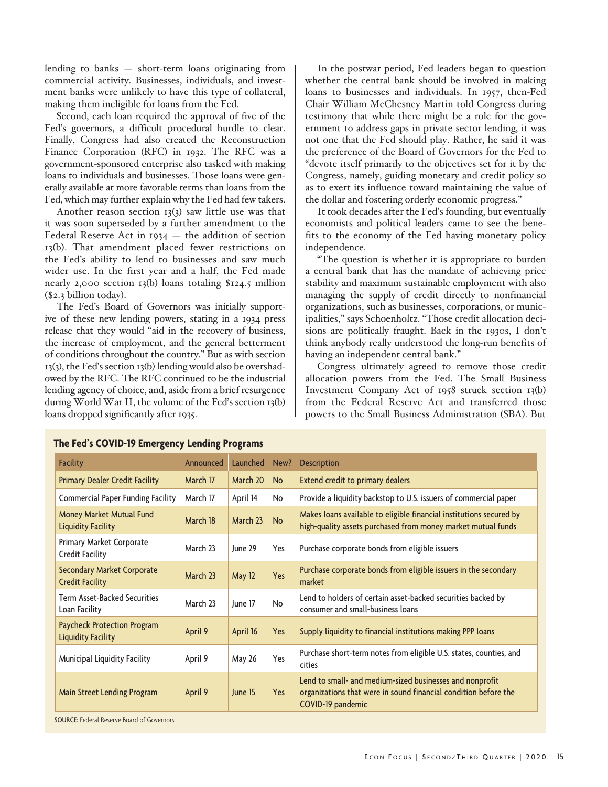lending to banks — short-term loans originating from commercial activity. Businesses, individuals, and investment banks were unlikely to have this type of collateral, making them ineligible for loans from the Fed.

Second, each loan required the approval of five of the Fed's governors, a difficult procedural hurdle to clear. Finally, Congress had also created the Reconstruction Finance Corporation (RFC) in 1932. The RFC was a government-sponsored enterprise also tasked with making loans to individuals and businesses. Those loans were generally available at more favorable terms than loans from the Fed, which may further explain why the Fed had few takers.

Another reason section  $13(3)$  saw little use was that it was soon superseded by a further amendment to the Federal Reserve Act in  $1934 -$  the addition of section 13(b). That amendment placed fewer restrictions on the Fed's ability to lend to businesses and saw much wider use. In the first year and a half, the Fed made nearly 2,000 section 13(b) loans totaling \$124.5 million (\$2.3 billion today).

The Fed's Board of Governors was initially supportive of these new lending powers, stating in a 1934 press release that they would "aid in the recovery of business, the increase of employment, and the general betterment of conditions throughout the country." But as with section 13(3), the Fed's section 13(b) lending would also be overshadowed by the RFC. The RFC continued to be the industrial lending agency of choice, and, aside from a brief resurgence during World War II, the volume of the Fed's section 13(b) loans dropped significantly after 1935.

In the postwar period, Fed leaders began to question whether the central bank should be involved in making loans to businesses and individuals. In 1957, then-Fed Chair William McChesney Martin told Congress during testimony that while there might be a role for the government to address gaps in private sector lending, it was not one that the Fed should play. Rather, he said it was the preference of the Board of Governors for the Fed to "devote itself primarily to the objectives set for it by the Congress, namely, guiding monetary and credit policy so as to exert its influence toward maintaining the value of the dollar and fostering orderly economic progress."

It took decades after the Fed's founding, but eventually economists and political leaders came to see the benefits to the economy of the Fed having monetary policy independence.

"The question is whether it is appropriate to burden a central bank that has the mandate of achieving price stability and maximum sustainable employment with also managing the supply of credit directly to nonfinancial organizations, such as businesses, corporations, or municipalities," says Schoenholtz. "Those credit allocation decisions are politically fraught. Back in the 1930s, I don't think anybody really understood the long-run benefits of having an independent central bank."

Congress ultimately agreed to remove those credit allocation powers from the Fed. The Small Business Investment Company Act of 1958 struck section 13(b) from the Federal Reserve Act and transferred those powers to the Small Business Administration (SBA). But

| Launched<br>Announced<br>March 20<br>March 17<br>April 14<br>March 17<br>March 18<br>March 23 | New?<br><b>No</b><br>No<br><b>No</b> | <b>Description</b><br><b>Extend credit to primary dealers</b><br>Provide a liquidity backstop to U.S. issuers of commercial paper<br>Makes loans available to eligible financial institutions secured by |
|-----------------------------------------------------------------------------------------------|--------------------------------------|----------------------------------------------------------------------------------------------------------------------------------------------------------------------------------------------------------|
|                                                                                               |                                      |                                                                                                                                                                                                          |
|                                                                                               |                                      |                                                                                                                                                                                                          |
|                                                                                               |                                      |                                                                                                                                                                                                          |
|                                                                                               |                                      | high-quality assets purchased from money market mutual funds                                                                                                                                             |
| March 23<br>lune 29                                                                           | Yes                                  | Purchase corporate bonds from eligible issuers                                                                                                                                                           |
| May 12                                                                                        | Yes                                  | Purchase corporate bonds from eligible issuers in the secondary<br>market                                                                                                                                |
| June 17                                                                                       | <b>No</b>                            | Lend to holders of certain asset-backed securities backed by<br>consumer and small-business loans                                                                                                        |
| April 16                                                                                      | Yes                                  | Supply liquidity to financial institutions making PPP loans                                                                                                                                              |
| <b>May 26</b>                                                                                 | Yes                                  | Purchase short-term notes from eligible U.S. states, counties, and<br>cities                                                                                                                             |
| June 15                                                                                       | Yes                                  | Lend to small- and medium-sized businesses and nonprofit<br>organizations that were in sound financial condition before the<br>COVID-19 pandemic                                                         |
|                                                                                               | March 23<br>March 23                 |                                                                                                                                                                                                          |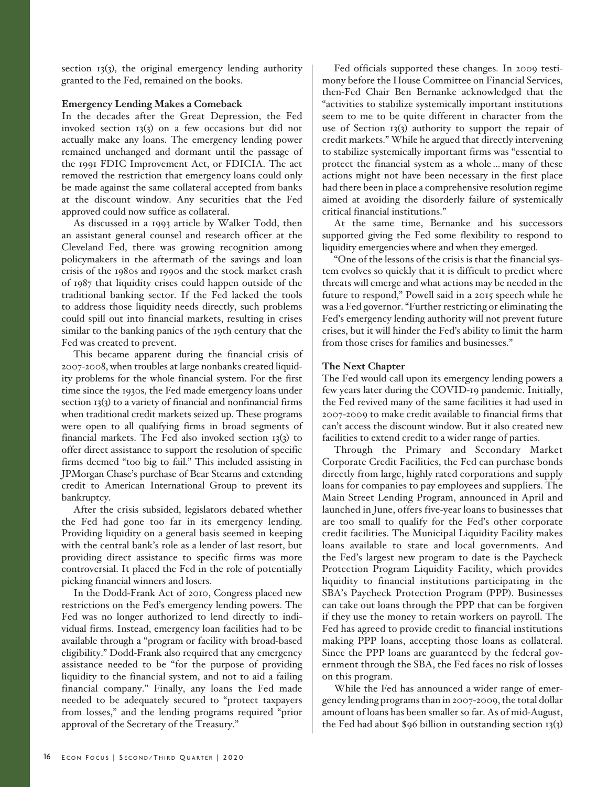section  $13(3)$ , the original emergency lending authority granted to the Fed, remained on the books.

#### **Emergency Lending Makes a Comeback**

In the decades after the Great Depression, the Fed invoked section 13(3) on a few occasions but did not actually make any loans. The emergency lending power remained unchanged and dormant until the passage of the 1991 FDIC Improvement Act, or FDICIA. The act removed the restriction that emergency loans could only be made against the same collateral accepted from banks at the discount window. Any securities that the Fed approved could now suffice as collateral.

As discussed in a 1993 article by Walker Todd, then an assistant general counsel and research officer at the Cleveland Fed, there was growing recognition among policymakers in the aftermath of the savings and loan crisis of the 1980s and 1990s and the stock market crash of 1987 that liquidity crises could happen outside of the traditional banking sector. If the Fed lacked the tools to address those liquidity needs directly, such problems could spill out into financial markets, resulting in crises similar to the banking panics of the 19th century that the Fed was created to prevent.

This became apparent during the financial crisis of 2007-2008, when troubles at large nonbanks created liquidity problems for the whole financial system. For the first time since the 1930s, the Fed made emergency loans under section 13(3) to a variety of financial and nonfinancial firms when traditional credit markets seized up. These programs were open to all qualifying firms in broad segments of financial markets. The Fed also invoked section 13(3) to offer direct assistance to support the resolution of specific firms deemed "too big to fail." This included assisting in JPMorgan Chase's purchase of Bear Stearns and extending credit to American International Group to prevent its bankruptcy.

After the crisis subsided, legislators debated whether the Fed had gone too far in its emergency lending. Providing liquidity on a general basis seemed in keeping with the central bank's role as a lender of last resort, but providing direct assistance to specific firms was more controversial. It placed the Fed in the role of potentially picking financial winners and losers.

In the Dodd-Frank Act of 2010, Congress placed new restrictions on the Fed's emergency lending powers. The Fed was no longer authorized to lend directly to individual firms. Instead, emergency loan facilities had to be available through a "program or facility with broad-based eligibility." Dodd-Frank also required that any emergency assistance needed to be "for the purpose of providing liquidity to the financial system, and not to aid a failing financial company." Finally, any loans the Fed made needed to be adequately secured to "protect taxpayers from losses," and the lending programs required "prior approval of the Secretary of the Treasury."

Fed officials supported these changes. In 2009 testimony before the House Committee on Financial Services, then-Fed Chair Ben Bernanke acknowledged that the "activities to stabilize systemically important institutions seem to me to be quite different in character from the use of Section 13(3) authority to support the repair of credit markets." While he argued that directly intervening to stabilize systemically important firms was "essential to protect the financial system as a whole … many of these actions might not have been necessary in the first place had there been in place a comprehensive resolution regime aimed at avoiding the disorderly failure of systemically critical financial institutions."

At the same time, Bernanke and his successors supported giving the Fed some flexibility to respond to liquidity emergencies where and when they emerged.

"One of the lessons of the crisis is that the financial system evolves so quickly that it is difficult to predict where threats will emerge and what actions may be needed in the future to respond," Powell said in a 2015 speech while he was a Fed governor. "Further restricting or eliminating the Fed's emergency lending authority will not prevent future crises, but it will hinder the Fed's ability to limit the harm from those crises for families and businesses."

## **The Next Chapter**

The Fed would call upon its emergency lending powers a few years later during the COVID-19 pandemic. Initially, the Fed revived many of the same facilities it had used in 2007-2009 to make credit available to financial firms that can't access the discount window. But it also created new facilities to extend credit to a wider range of parties.

Through the Primary and Secondary Market Corporate Credit Facilities, the Fed can purchase bonds directly from large, highly rated corporations and supply loans for companies to pay employees and suppliers. The Main Street Lending Program, announced in April and launched in June, offers five-year loans to businesses that are too small to qualify for the Fed's other corporate credit facilities. The Municipal Liquidity Facility makes loans available to state and local governments. And the Fed's largest new program to date is the Paycheck Protection Program Liquidity Facility, which provides liquidity to financial institutions participating in the SBA's Paycheck Protection Program (PPP). Businesses can take out loans through the PPP that can be forgiven if they use the money to retain workers on payroll. The Fed has agreed to provide credit to financial institutions making PPP loans, accepting those loans as collateral. Since the PPP loans are guaranteed by the federal government through the SBA, the Fed faces no risk of losses on this program.

While the Fed has announced a wider range of emergency lending programs than in 2007-2009, the total dollar amount of loans has been smaller so far. As of mid-August, the Fed had about \$96 billion in outstanding section 13(3)